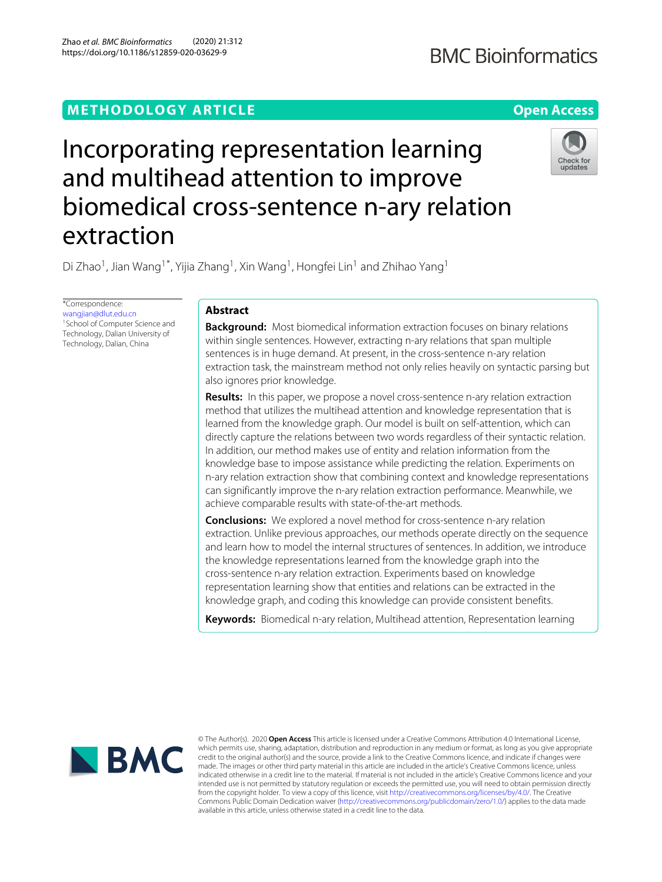## **METHODOLOGY ARTICLE Open Access**

# Incorporating representation learning and multihead attention to improve biomedical cross-sentence n-ary relation extraction

Di Zhao<sup>1</sup>, Jian Wang<sup>1\*</sup>, Yijia Zhang<sup>1</sup>, Xin Wang<sup>1</sup>, Hongfei Lin<sup>1</sup> and Zhihao Yang<sup>1</sup>

\*Correspondence:

[wangjian@dlut.edu.cn](mailto: wangjian@dlut.edu.cn) <sup>1</sup>School of Computer Science and Technology, Dalian University of Technology, Dalian, China

### **Abstract**

**Background:** Most biomedical information extraction focuses on binary relations within single sentences. However, extracting n-ary relations that span multiple sentences is in huge demand. At present, in the cross-sentence n-ary relation extraction task, the mainstream method not only relies heavily on syntactic parsing but also ignores prior knowledge.

**Results:** In this paper, we propose a novel cross-sentence n-ary relation extraction method that utilizes the multihead attention and knowledge representation that is learned from the knowledge graph. Our model is built on self-attention, which can directly capture the relations between two words regardless of their syntactic relation. In addition, our method makes use of entity and relation information from the knowledge base to impose assistance while predicting the relation. Experiments on n-ary relation extraction show that combining context and knowledge representations can significantly improve the n-ary relation extraction performance. Meanwhile, we achieve comparable results with state-of-the-art methods.

**Conclusions:** We explored a novel method for cross-sentence n-ary relation extraction. Unlike previous approaches, our methods operate directly on the sequence and learn how to model the internal structures of sentences. In addition, we introduce the knowledge representations learned from the knowledge graph into the cross-sentence n-ary relation extraction. Experiments based on knowledge representation learning show that entities and relations can be extracted in the knowledge graph, and coding this knowledge can provide consistent benefits.

**Keywords:** Biomedical n-ary relation, Multihead attention, Representation learning



© The Author(s). 2020 **Open Access** This article is licensed under a Creative Commons Attribution 4.0 International License, which permits use, sharing, adaptation, distribution and reproduction in any medium or format, as long as you give appropriate credit to the original author(s) and the source, provide a link to the Creative Commons licence, and indicate if changes were made. The images or other third party material in this article are included in the article's Creative Commons licence, unless indicated otherwise in a credit line to the material. If material is not included in the article's Creative Commons licence and your intended use is not permitted by statutory regulation or exceeds the permitted use, you will need to obtain permission directly from the copyright holder. To view a copy of this licence, visit [http://creativecommons.org/licenses/by/4.0/.](http://creativecommons.org/licenses/by/4.0/) The Creative Commons Public Domain Dedication waiver [\(http://creativecommons.org/publicdomain/zero/1.0/\)](http://creativecommons.org/publicdomain/zero/1.0/) applies to the data made available in this article, unless otherwise stated in a credit line to the data.



**BMC Bioinformatics**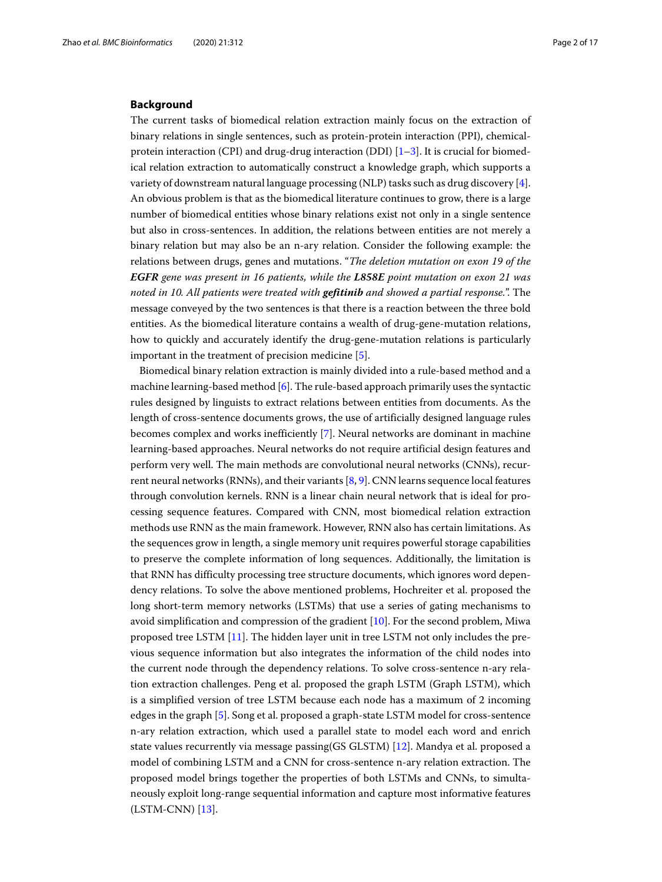#### **Background**

The current tasks of biomedical relation extraction mainly focus on the extraction of binary relations in single sentences, such as protein-protein interaction (PPI), chemicalprotein interaction (CPI) and drug-drug interaction (DDI)  $[1-3]$  $[1-3]$ . It is crucial for biomedical relation extraction to automatically construct a knowledge graph, which supports a variety of downstream natural language processing (NLP) tasks such as drug discovery [\[4\]](#page-15-2). An obvious problem is that as the biomedical literature continues to grow, there is a large number of biomedical entities whose binary relations exist not only in a single sentence but also in cross-sentences. In addition, the relations between entities are not merely a binary relation but may also be an n-ary relation. Consider the following example: the relations between drugs, genes and mutations. "*The deletion mutation on exon 19 of the EGFR gene was present in 16 patients, while the L858E point mutation on exon 21 was noted in 10. All patients were treated with gefitinib and showed a partial response.*". The message conveyed by the two sentences is that there is a reaction between the three bold entities. As the biomedical literature contains a wealth of drug-gene-mutation relations, how to quickly and accurately identify the drug-gene-mutation relations is particularly important in the treatment of precision medicine [\[5\]](#page-15-3).

Biomedical binary relation extraction is mainly divided into a rule-based method and a machine learning-based method [\[6\]](#page-15-4). The rule-based approach primarily uses the syntactic rules designed by linguists to extract relations between entities from documents. As the length of cross-sentence documents grows, the use of artificially designed language rules becomes complex and works inefficiently [\[7\]](#page-15-5). Neural networks are dominant in machine learning-based approaches. Neural networks do not require artificial design features and perform very well. The main methods are convolutional neural networks (CNNs), recurrent neural networks (RNNs), and their variants [\[8,](#page-15-6) [9\]](#page-15-7). CNN learns sequence local features through convolution kernels. RNN is a linear chain neural network that is ideal for processing sequence features. Compared with CNN, most biomedical relation extraction methods use RNN as the main framework. However, RNN also has certain limitations. As the sequences grow in length, a single memory unit requires powerful storage capabilities to preserve the complete information of long sequences. Additionally, the limitation is that RNN has difficulty processing tree structure documents, which ignores word dependency relations. To solve the above mentioned problems, Hochreiter et al. proposed the long short-term memory networks (LSTMs) that use a series of gating mechanisms to avoid simplification and compression of the gradient [\[10\]](#page-15-8). For the second problem, Miwa proposed tree LSTM [\[11\]](#page-15-9). The hidden layer unit in tree LSTM not only includes the previous sequence information but also integrates the information of the child nodes into the current node through the dependency relations. To solve cross-sentence n-ary relation extraction challenges. Peng et al. proposed the graph LSTM (Graph LSTM), which is a simplified version of tree LSTM because each node has a maximum of 2 incoming edges in the graph [\[5\]](#page-15-3). Song et al. proposed a graph-state LSTM model for cross-sentence n-ary relation extraction, which used a parallel state to model each word and enrich state values recurrently via message passing(GS GLSTM) [\[12\]](#page-15-10). Mandya et al. proposed a model of combining LSTM and a CNN for cross-sentence n-ary relation extraction. The proposed model brings together the properties of both LSTMs and CNNs, to simultaneously exploit long-range sequential information and capture most informative features (LSTM-CNN) [\[13\]](#page-15-11).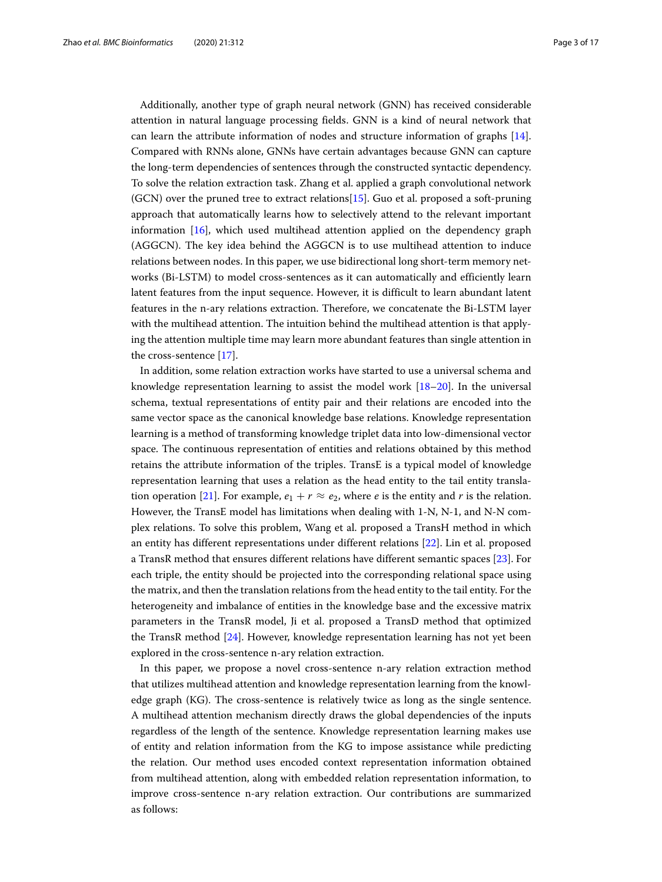Additionally, another type of graph neural network (GNN) has received considerable attention in natural language processing fields. GNN is a kind of neural network that can learn the attribute information of nodes and structure information of graphs [\[14\]](#page-15-12). Compared with RNNs alone, GNNs have certain advantages because GNN can capture the long-term dependencies of sentences through the constructed syntactic dependency. To solve the relation extraction task. Zhang et al. applied a graph convolutional network (GCN) over the pruned tree to extract relations[\[15\]](#page-15-13). Guo et al. proposed a soft-pruning approach that automatically learns how to selectively attend to the relevant important information [\[16\]](#page-15-14), which used multihead attention applied on the dependency graph (AGGCN). The key idea behind the AGGCN is to use multihead attention to induce relations between nodes. In this paper, we use bidirectional long short-term memory networks (Bi-LSTM) to model cross-sentences as it can automatically and efficiently learn latent features from the input sequence. However, it is difficult to learn abundant latent features in the n-ary relations extraction. Therefore, we concatenate the Bi-LSTM layer with the multihead attention. The intuition behind the multihead attention is that applying the attention multiple time may learn more abundant features than single attention in the cross-sentence [\[17\]](#page-15-15).

In addition, some relation extraction works have started to use a universal schema and knowledge representation learning to assist the model work [\[18–](#page-15-16)[20\]](#page-15-17). In the universal schema, textual representations of entity pair and their relations are encoded into the same vector space as the canonical knowledge base relations. Knowledge representation learning is a method of transforming knowledge triplet data into low-dimensional vector space. The continuous representation of entities and relations obtained by this method retains the attribute information of the triples. TransE is a typical model of knowledge representation learning that uses a relation as the head entity to the tail entity transla-tion operation [\[21\]](#page-15-18). For example,  $e_1 + r \approx e_2$ , where *e* is the entity and *r* is the relation. However, the TransE model has limitations when dealing with 1-N, N-1, and N-N complex relations. To solve this problem, Wang et al. proposed a TransH method in which an entity has different representations under different relations [\[22\]](#page-15-19). Lin et al. proposed a TransR method that ensures different relations have different semantic spaces [\[23\]](#page-15-20). For each triple, the entity should be projected into the corresponding relational space using the matrix, and then the translation relations from the head entity to the tail entity. For the heterogeneity and imbalance of entities in the knowledge base and the excessive matrix parameters in the TransR model, Ji et al. proposed a TransD method that optimized the TransR method [\[24\]](#page-15-21). However, knowledge representation learning has not yet been explored in the cross-sentence n-ary relation extraction.

In this paper, we propose a novel cross-sentence n-ary relation extraction method that utilizes multihead attention and knowledge representation learning from the knowledge graph (KG). The cross-sentence is relatively twice as long as the single sentence. A multihead attention mechanism directly draws the global dependencies of the inputs regardless of the length of the sentence. Knowledge representation learning makes use of entity and relation information from the KG to impose assistance while predicting the relation. Our method uses encoded context representation information obtained from multihead attention, along with embedded relation representation information, to improve cross-sentence n-ary relation extraction. Our contributions are summarized as follows: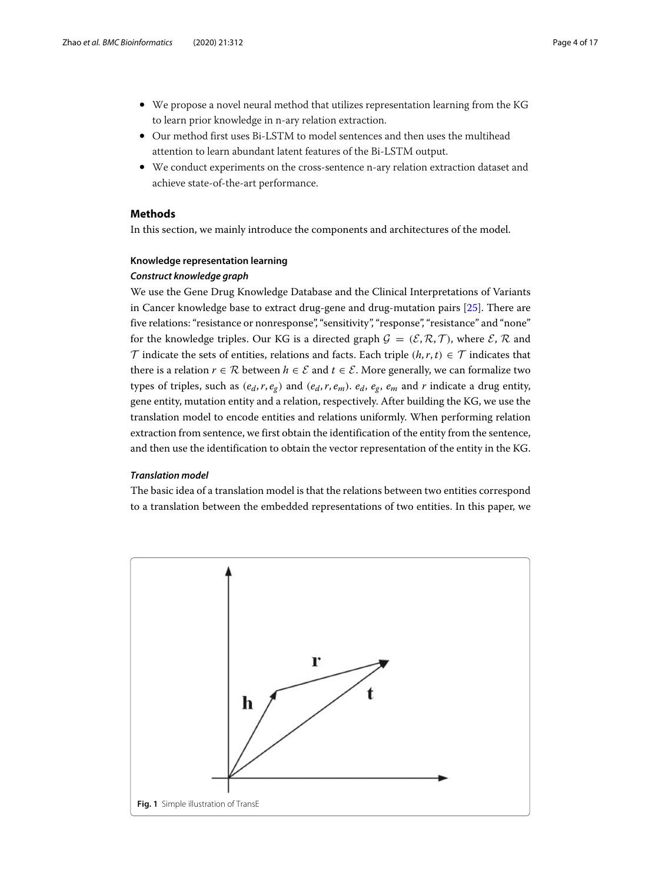- We propose a novel neural method that utilizes representation learning from the KG to learn prior knowledge in n-ary relation extraction.
- Our method first uses Bi-LSTM to model sentences and then uses the multihead attention to learn abundant latent features of the Bi-LSTM output.
- We conduct experiments on the cross-sentence n-ary relation extraction dataset and achieve state-of-the-art performance.

#### **Methods**

In this section, we mainly introduce the components and architectures of the model.

#### **Knowledge representation learning**

#### *Construct knowledge graph*

We use the Gene Drug Knowledge Database and the Clinical Interpretations of Variants in Cancer knowledge base to extract drug-gene and drug-mutation pairs [\[25\]](#page-16-0). There are five relations: "resistance or nonresponse", "sensitivity", "response", "resistance" and "none" for the knowledge triples. Our KG is a directed graph  $\mathcal{G} = (\mathcal{E}, \mathcal{R}, \mathcal{T})$ , where  $\mathcal{E}, \mathcal{R}$  and  $\mathcal{T}$  indicate the sets of entities, relations and facts. Each triple  $(h, r, t) \in \mathcal{T}$  indicates that there is a relation  $r \in \mathcal{R}$  between  $h \in \mathcal{E}$  and  $t \in \mathcal{E}$ . More generally, we can formalize two types of triples, such as  $(e_d, r, e_g)$  and  $(e_d, r, e_m)$ .  $e_d, e_g, e_m$  and *r* indicate a drug entity, gene entity, mutation entity and a relation, respectively. After building the KG, we use the translation model to encode entities and relations uniformly. When performing relation extraction from sentence, we first obtain the identification of the entity from the sentence, and then use the identification to obtain the vector representation of the entity in the KG.

#### *Translation model*

The basic idea of a translation model is that the relations between two entities correspond to a translation between the embedded representations of two entities. In this paper, we

<span id="page-3-0"></span>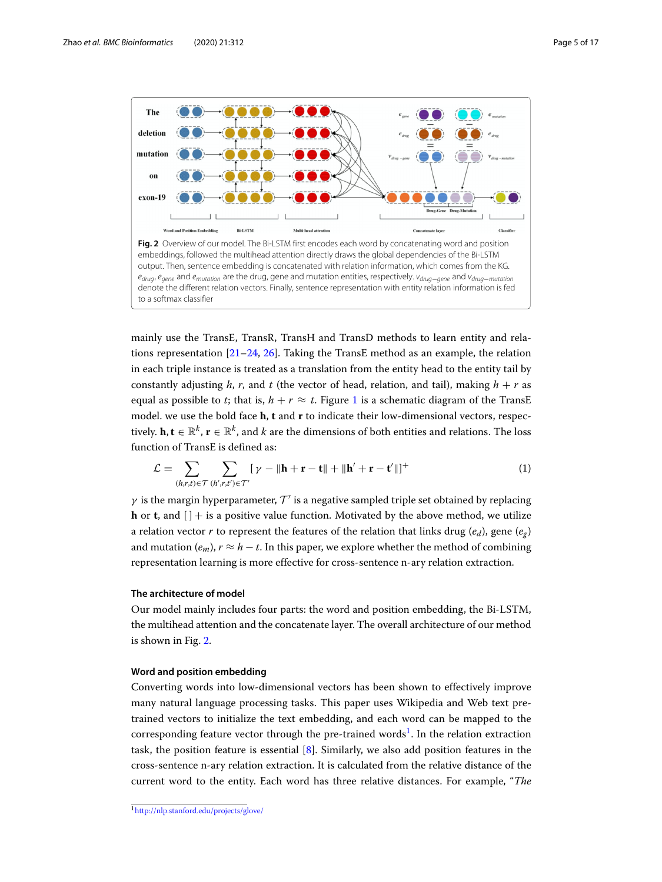

<span id="page-4-0"></span>mainly use the TransE, TransR, TransH and TransD methods to learn entity and relations representation  $[21-24, 26]$  $[21-24, 26]$  $[21-24, 26]$ . Taking the TransE method as an example, the relation in each triple instance is treated as a translation from the entity head to the entity tail by constantly adjusting *h*, *r*, and *t* (the vector of head, relation, and tail), making  $h + r$  as equal as possible to *t*; that is,  $h + r \approx t$ . Figure [1](#page-3-0) is a schematic diagram of the TransE model. we use the bold face **h**, **t** and **r** to indicate their low-dimensional vectors, respectively. **h**,  $\mathbf{t} \in \mathbb{R}^k$ ,  $\mathbf{r} \in \mathbb{R}^k$ , and *k* are the dimensions of both entities and relations. The loss function of TransE is defined as:

$$
\mathcal{L} = \sum_{(h,r,t)\in\mathcal{T}} \sum_{(h',r,t')\in\mathcal{T}'} [\gamma - \|\mathbf{h} + \mathbf{r} - \mathbf{t}\| + \|\mathbf{h}' + \mathbf{r} - \mathbf{t}'\|]^{+}
$$
(1)

 $\gamma$  is the margin hyperparameter,  $\mathcal{T}'$  is a negative sampled triple set obtained by replacing **h** or **t**, and  $[ ] +$  is a positive value function. Motivated by the above method, we utilize a relation vector *r* to represent the features of the relation that links drug ( $e_d$ ), gene ( $e_g$ ) and mutation  $(e_m)$ ,  $r \approx h - t$ . In this paper, we explore whether the method of combining representation learning is more effective for cross-sentence n-ary relation extraction.

#### **The architecture of model**

Our model mainly includes four parts: the word and position embedding, the Bi-LSTM, the multihead attention and the concatenate layer. The overall architecture of our method is shown in Fig. [2.](#page-4-0)

#### **Word and position embedding**

Converting words into low-dimensional vectors has been shown to effectively improve many natural language processing tasks. This paper uses Wikipedia and Web text pretrained vectors to initialize the text embedding, and each word can be mapped to the corresponding feature vector through the pre-trained words<sup>1</sup>. In the relation extraction task, the position feature is essential [\[8\]](#page-15-6). Similarly, we also add position features in the cross-sentence n-ary relation extraction. It is calculated from the relative distance of the current word to the entity. Each word has three relative distances. For example, "*The*

<span id="page-4-1"></span><sup>1</sup><http://nlp.stanford.edu/projects/glove/>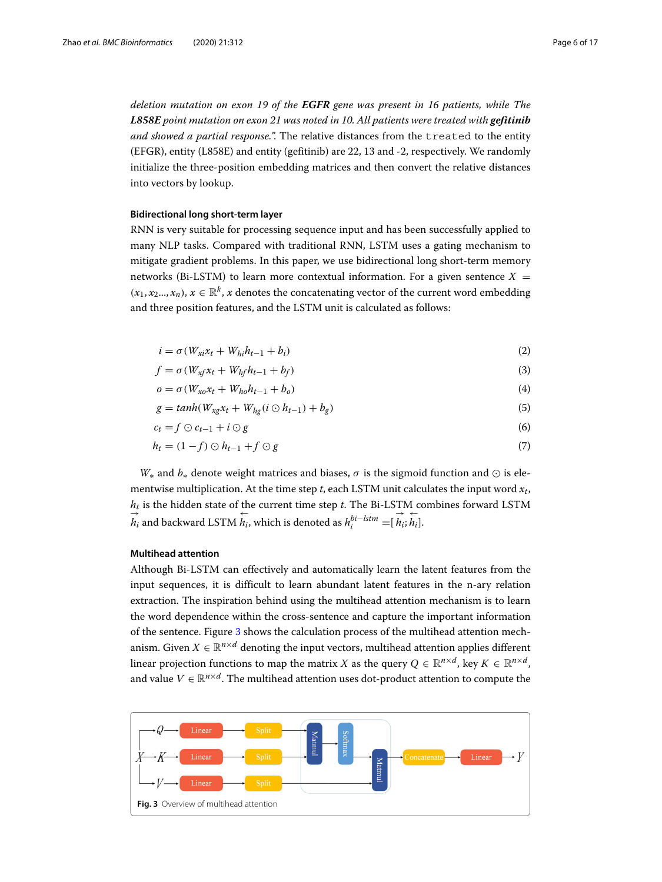*deletion mutation on exon 19 of the EGFR gene was present in 16 patients, while The* L858E point mutation on exon 21 was noted in 10. All patients were treated with **gefitinib** *and showed a partial response.*". The relative distances from the treated to the entity (EFGR), entity (L858E) and entity (gefitinib) are 22, 13 and -2, respectively. We randomly initialize the three-position embedding matrices and then convert the relative distances into vectors by lookup.

#### **Bidirectional long short-term layer**

RNN is very suitable for processing sequence input and has been successfully applied to many NLP tasks. Compared with traditional RNN, LSTM uses a gating mechanism to mitigate gradient problems. In this paper, we use bidirectional long short-term memory networks (Bi-LSTM) to learn more contextual information. For a given sentence  $X =$  $(x_1, x_2, ..., x_n), x \in \mathbb{R}^k$ , *x* denotes the concatenating vector of the current word embedding and three position features, and the LSTM unit is calculated as follows:

$$
i = \sigma(W_{xi}x_t + W_{hi}h_{t-1} + b_i)
$$
\n<sup>(2)</sup>

$$
f = \sigma(W_{xf}x_t + W_{hf}h_{t-1} + b_f)
$$
\n(3)

$$
o = \sigma(W_{xo}x_t + W_{ho}h_{t-1} + b_o)
$$
\n<sup>(4)</sup>

$$
g = \tanh(W_{xg}x_t + W_{hg}(i \odot h_{t-1}) + b_g) \tag{5}
$$

$$
c_t = f \odot c_{t-1} + i \odot g \tag{6}
$$

$$
h_t = (1 - f) \odot h_{t-1} + f \odot g \tag{7}
$$

*W*<sup>∗</sup> and  $b$ <sup>\*</sup> denote weight matrices and biases,  $\sigma$  is the sigmoid function and  $\odot$  is elementwise multiplication. At the time step *t*, each LSTM unit calculates the input word *xt*, *ht* is the hidden state of the current time step *t*. The Bi-LSTM combines forward LSTM  $\overrightarrow{h_i}$  and backward LSTM  $\overleftarrow{h_i}$ , which is denoted as  $h_i^{bi-lstm} = [\overrightarrow{h_i}; \overleftarrow{h_i}]$ .

#### **Multihead attention**

Although Bi-LSTM can effectively and automatically learn the latent features from the input sequences, it is difficult to learn abundant latent features in the n-ary relation extraction. The inspiration behind using the multihead attention mechanism is to learn the word dependence within the cross-sentence and capture the important information of the sentence. Figure [3](#page-5-0) shows the calculation process of the multihead attention mechanism. Given  $X \in \mathbb{R}^{n \times d}$  denoting the input vectors, multihead attention applies different linear projection functions to map the matrix *X* as the query  $Q \in \mathbb{R}^{n \times d}$ , key  $K \in \mathbb{R}^{n \times d}$ , and value  $V \in \mathbb{R}^{n \times d}$ . The multihead attention uses dot-product attention to compute the

<span id="page-5-0"></span>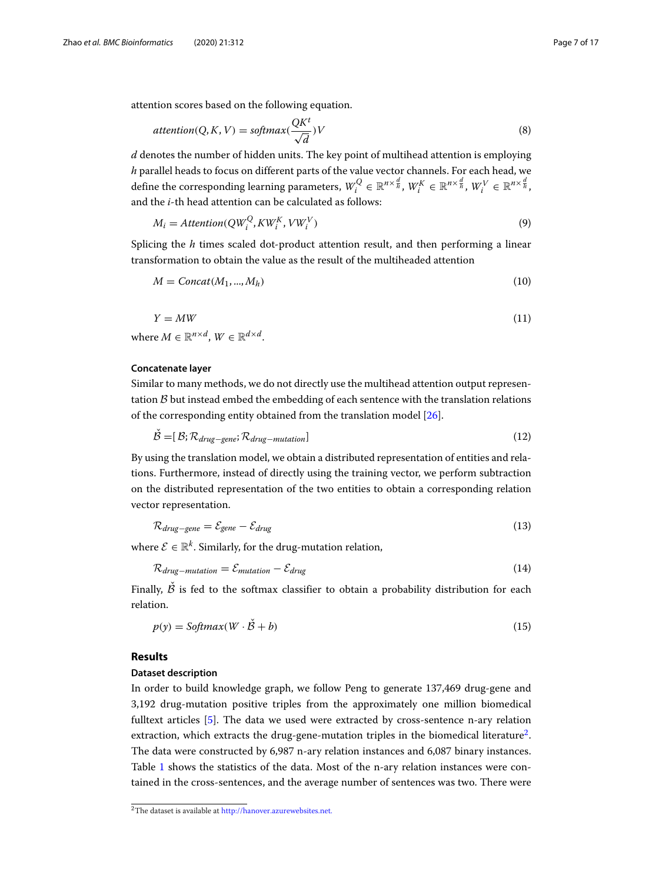attention scores based on the following equation.

$$
attention(Q, K, V) = softmax(\frac{QK^t}{\sqrt{d}})V
$$
\n(8)

*d* denotes the number of hidden units. The key point of multihead attention is employing *h* parallel heads to focus on different parts of the value vector channels. For each head, we define the corresponding learning parameters,  $W_i^Q \in \mathbb{R}^{n \times \frac{d}{h}}$ ,  $W_i^K \in \mathbb{R}^{n \times \frac{d}{h}}$ ,  $W_i^V \in \mathbb{R}^{n \times \frac{d}{h}}$ , and the *i*-th head attention can be calculated as follows:

$$
M_i =Attention(QW_i^Q, KW_i^K, VW_i^V)
$$
\n(9)

Splicing the *h* times scaled dot-product attention result, and then performing a linear transformation to obtain the value as the result of the multiheaded attention

$$
M = \text{Concat}(M_1, ..., M_h) \tag{10}
$$

$$
Y = MW \tag{11}
$$

where  $M \in \mathbb{R}^{n \times d}$ ,  $W \in \mathbb{R}^{d \times d}$ .

#### **Concatenate layer**

Similar to many methods, we do not directly use the multihead attention output representation  $B$  but instead embed the embedding of each sentence with the translation relations of the corresponding entity obtained from the translation model [\[26\]](#page-16-1).

$$
\dot{\mathcal{B}} = [\mathcal{B}; \mathcal{R}_{drug-gene}; \mathcal{R}_{drug-mutation}] \tag{12}
$$

By using the translation model, we obtain a distributed representation of entities and relations. Furthermore, instead of directly using the training vector, we perform subtraction on the distributed representation of the two entities to obtain a corresponding relation vector representation.

$$
\mathcal{R}_{drug-gene} = \mathcal{E}_{gene} - \mathcal{E}_{drug} \tag{13}
$$

where  $\mathcal{E} \in \mathbb{R}^k$ . Similarly, for the drug-mutation relation,

$$
\mathcal{R}_{drug-mutation} = \mathcal{E}_{mutation} - \mathcal{E}_{drug} \tag{14}
$$

Finally,  $\check{B}$  is fed to the softmax classifier to obtain a probability distribution for each relation.

$$
p(y) = \text{Softmax}(W \cdot \vec{B} + b) \tag{15}
$$

#### **Results**

#### **Dataset description**

In order to build knowledge graph, we follow Peng to generate 137,469 drug-gene and 3,192 drug-mutation positive triples from the approximately one million biomedical fulltext articles [\[5\]](#page-15-3). The data we used were extracted by cross-sentence n-ary relation extraction, which extracts the drug-gene-mutation triples in the biomedical literature<sup>2</sup>. The data were constructed by 6,987 n-ary relation instances and 6,087 binary instances. Table [1](#page-7-0) shows the statistics of the data. Most of the n-ary relation instances were contained in the cross-sentences, and the average number of sentences was two. There were

<span id="page-6-0"></span><sup>&</sup>lt;sup>2</sup>The dataset is available at <http://hanover.azurewebsites.net.>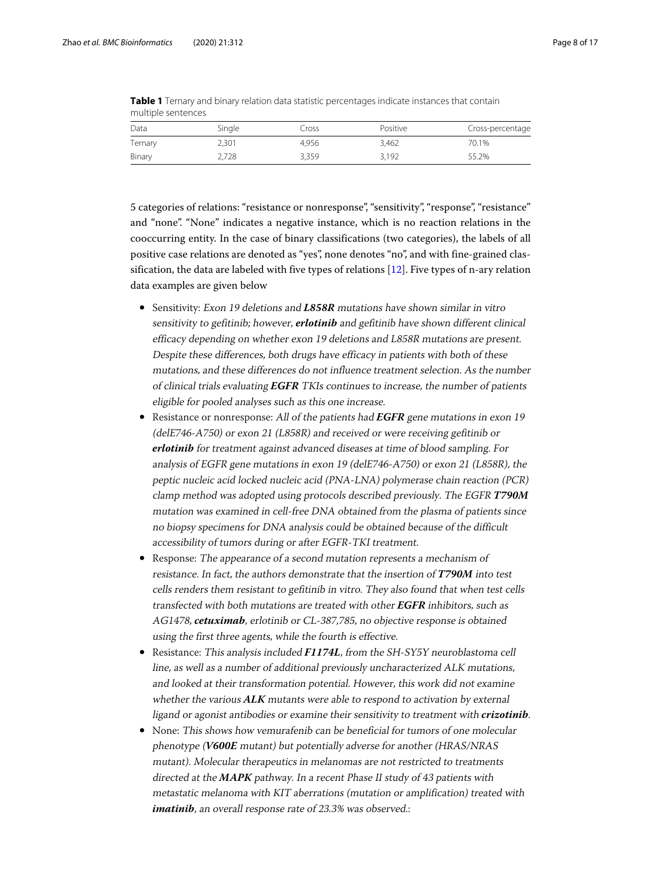| .       |        |       |          |                  |
|---------|--------|-------|----------|------------------|
| Data    | Single | Cross | Positive | Cross-percentage |
| Ternary | 2,301  | 4.956 | 3,462    | 70.1%            |
| Binary  | 2,728  | 3,359 | 3,192    | 55.2%            |

<span id="page-7-0"></span>**Table 1** Ternary and binary relation data statistic percentages indicate instances that contain multiple sentences

5 categories of relations: "resistance or nonresponse", "sensitivity", "response", "resistance" and "none". "None" indicates a negative instance, which is no reaction relations in the cooccurring entity. In the case of binary classifications (two categories), the labels of all positive case relations are denoted as "yes", none denotes "no", and with fine-grained classification, the data are labeled with five types of relations  $[12]$ . Five types of n-ary relation data examples are given below

- Sensitivity: Exon <sup>19</sup> deletions and *L858R* mutations have shown similar in vitro sensitivity to gefitinib; however, *erlotinib* and gefitinib have shown different clinical efficacy depending on whether exon <sup>19</sup> deletions and L858R mutations are present. Despite these differences, both drugs have efficacy in patients with both of these mutations, and these differences do not influence treatment selection. As the number of clinical trials evaluating *EGFR* TKIs continues to increase, the number of patients eligible for pooled analyses such as this one increase.
- Resistance or nonresponse: All of the patients had *EGFR* gene mutations in exon <sup>19</sup> (delE746-A750) or exon <sup>21</sup> (L858R) and received or were receiving gefitinib or *erlotinib* for treatment against advanced diseases at time of blood sampling. For analysis of EGFR gene mutations in exon <sup>19</sup> (delE746-A750) or exon <sup>21</sup> (L858R), the peptic nucleic acid locked nucleic acid (PNA-LNA) polymerase chain reaction (PCR) clamp method was adopted using protocols described previously. The EGFR *T790M* mutation was examined in cell-free DNA obtained from the plasma of patients since no biopsy specimens for DNA analysis could be obtained because of the difficult accessibility of tumors during or after EGFR-TKI treatment.
- Response: The appearance of <sup>a</sup> second mutation represents <sup>a</sup> mechanism of resistance. In fact, the authors demonstrate that the insertion of *T790M* into test cells renders them resistant to gefitinib in vitro. They also found that when test cells transfected with both mutations are treated with other *EGFR* inhibitors, such as AG1478, *cetuximab*, erlotinib or CL-387,785, no objective response is obtained using the first three agents, while the fourth is effective.
- Resistance: This analysis included *F1174L*, from the SH-SY5Y neuroblastoma cell line, as well as <sup>a</sup> number of additional previously uncharacterized ALK mutations, and looked at their transformation potential. However, this work did not examine whether the various *ALK* mutants were able to respond to activation by external ligand or agonist antibodies or examine their sensitivity to treatment with *crizotinib*.
- None: This shows how vemurafenib can be beneficial for tumors of one molecular phenotype (*V600E* mutant) but potentially adverse for another (HRAS/NRAS mutant). Molecular therapeutics in melanomas are not restricted to treatments directed at the *MAPK* pathway. In <sup>a</sup> recent Phase II study of <sup>43</sup> patients with metastatic melanoma with KIT aberrations (mutation or amplification) treated with *imatinib*, an overall response rate of 23.3% was observed.: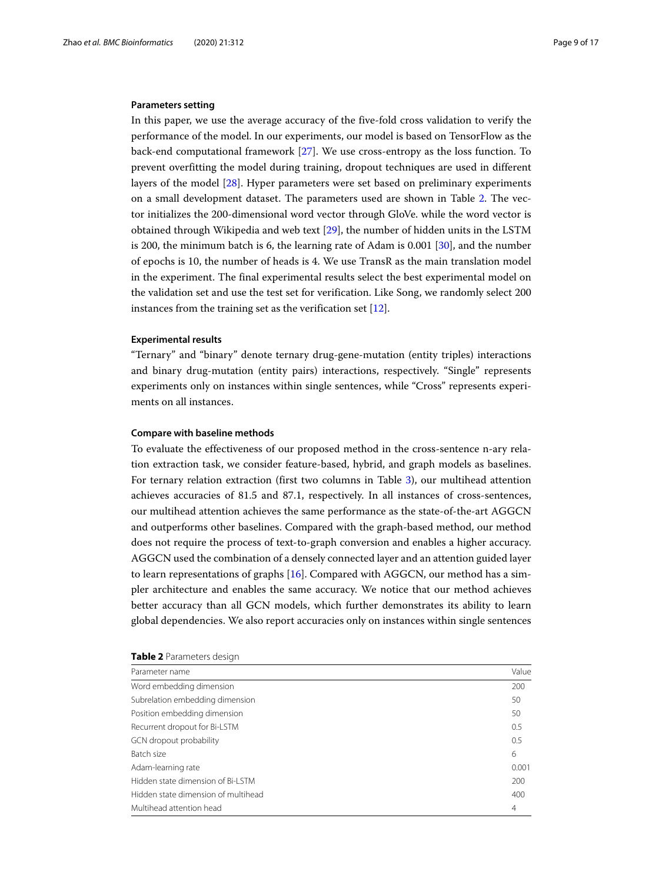#### **Parameters setting**

In this paper, we use the average accuracy of the five-fold cross validation to verify the performance of the model. In our experiments, our model is based on TensorFlow as the back-end computational framework [\[27\]](#page-16-2). We use cross-entropy as the loss function. To prevent overfitting the model during training, dropout techniques are used in different layers of the model [\[28\]](#page-16-3). Hyper parameters were set based on preliminary experiments on a small development dataset. The parameters used are shown in Table [2.](#page-8-0) The vector initializes the 200-dimensional word vector through GloVe. while the word vector is obtained through Wikipedia and web text [\[29\]](#page-16-4), the number of hidden units in the LSTM is 200, the minimum batch is 6, the learning rate of Adam is 0.001 [\[30\]](#page-16-5), and the number of epochs is 10, the number of heads is 4. We use TransR as the main translation model in the experiment. The final experimental results select the best experimental model on the validation set and use the test set for verification. Like Song, we randomly select 200 instances from the training set as the verification set [\[12\]](#page-15-10).

#### **Experimental results**

"Ternary" and "binary" denote ternary drug-gene-mutation (entity triples) interactions and binary drug-mutation (entity pairs) interactions, respectively. "Single" represents experiments only on instances within single sentences, while "Cross" represents experiments on all instances.

#### **Compare with baseline methods**

To evaluate the effectiveness of our proposed method in the cross-sentence n-ary relation extraction task, we consider feature-based, hybrid, and graph models as baselines. For ternary relation extraction (first two columns in Table [3\)](#page-9-0), our multihead attention achieves accuracies of 81.5 and 87.1, respectively. In all instances of cross-sentences, our multihead attention achieves the same performance as the state-of-the-art AGGCN and outperforms other baselines. Compared with the graph-based method, our method does not require the process of text-to-graph conversion and enables a higher accuracy. AGGCN used the combination of a densely connected layer and an attention guided layer to learn representations of graphs [\[16\]](#page-15-14). Compared with AGGCN, our method has a simpler architecture and enables the same accuracy. We notice that our method achieves better accuracy than all GCN models, which further demonstrates its ability to learn global dependencies. We also report accuracies only on instances within single sentences

<span id="page-8-0"></span>

| Table 2 Parameters design |  |  |  |  |  |  |
|---------------------------|--|--|--|--|--|--|
|---------------------------|--|--|--|--|--|--|

| Parameter name                      | Value |
|-------------------------------------|-------|
| Word embedding dimension            | 200   |
| Subrelation embedding dimension     | 50    |
| Position embedding dimension        | 50    |
| Recurrent dropout for Bi-LSTM       | 0.5   |
| <b>GCN</b> dropout probability      | 0.5   |
| Batch size                          | 6     |
| Adam-learning rate                  | 0.001 |
| Hidden state dimension of Bi-LSTM   | 200   |
| Hidden state dimension of multihead | 400   |
| Multihead attention head            | 4     |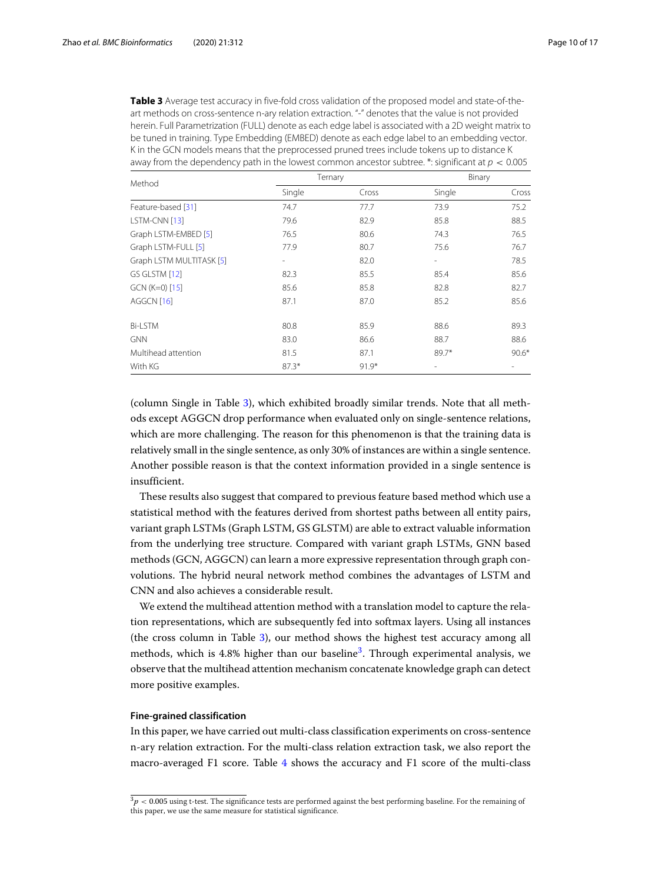<span id="page-9-0"></span>**Table 3** Average test accuracy in five-fold cross validation of the proposed model and state-of-theart methods on cross-sentence n-ary relation extraction. "-" denotes that the value is not provided herein. Full Parametrization (FULL) denote as each edge label is associated with a 2D weight matrix to be tuned in training. Type Embedding (EMBED) denote as each edge label to an embedding vector. K in the GCN models means that the preprocessed pruned trees include tokens up to distance K away from the dependency path in the lowest common ancestor subtree.  $*$ : significant at  $p < 0.005$ 

| Method                   |                          | Ternary |         | Binary  |
|--------------------------|--------------------------|---------|---------|---------|
|                          | Single                   | Cross   | Single  | Cross   |
| Feature-based [31]       | 74.7                     | 77.7    | 73.9    | 75.2    |
| LSTM-CNN [13]            | 79.6                     | 82.9    | 85.8    | 88.5    |
| Graph LSTM-EMBED [5]     | 76.5                     | 80.6    | 74.3    | 76.5    |
| Graph LSTM-FULL [5]      | 77.9                     | 80.7    | 75.6    | 76.7    |
| Graph LSTM MULTITASK [5] | $\overline{\phantom{0}}$ | 82.0    |         | 78.5    |
| GS GLSTM [12]            | 82.3                     | 85.5    | 85.4    | 85.6    |
| GCN (K=0) [15]           | 85.6                     | 85.8    | 82.8    | 82.7    |
| AGGCN [16]               | 87.1                     | 87.0    | 85.2    | 85.6    |
| <b>Bi-LSTM</b>           | 80.8                     | 85.9    | 88.6    | 89.3    |
| <b>GNN</b>               | 83.0                     | 86.6    | 88.7    | 88.6    |
| Multihead attention      | 81.5                     | 87.1    | $89.7*$ | $90.6*$ |
| With KG                  | $87.3*$                  | $91.9*$ |         | ٠       |

(column Single in Table [3\)](#page-9-0), which exhibited broadly similar trends. Note that all methods except AGGCN drop performance when evaluated only on single-sentence relations, which are more challenging. The reason for this phenomenon is that the training data is relatively small in the single sentence, as only 30% of instances are within a single sentence. Another possible reason is that the context information provided in a single sentence is insufficient.

These results also suggest that compared to previous feature based method which use a statistical method with the features derived from shortest paths between all entity pairs, variant graph LSTMs (Graph LSTM, GS GLSTM) are able to extract valuable information from the underlying tree structure. Compared with variant graph LSTMs, GNN based methods (GCN, AGGCN) can learn a more expressive representation through graph convolutions. The hybrid neural network method combines the advantages of LSTM and CNN and also achieves a considerable result.

We extend the multihead attention method with a translation model to capture the relation representations, which are subsequently fed into softmax layers. Using all instances (the cross column in Table [3\)](#page-9-0), our method shows the highest test accuracy among all methods, which is 4.8% higher than our baseline<sup>[3](#page-9-1)</sup>. Through experimental analysis, we observe that the multihead attention mechanism concatenate knowledge graph can detect more positive examples.

#### **Fine-grained classification**

In this paper, we have carried out multi-class classification experiments on cross-sentence n-ary relation extraction. For the multi-class relation extraction task, we also report the macro-averaged F1 score. Table [4](#page-10-0) shows the accuracy and F1 score of the multi-class

<span id="page-9-1"></span> $3p < 0.005$  using t-test. The significance tests are performed against the best performing baseline. For the remaining of this paper, we use the same measure for statistical significance.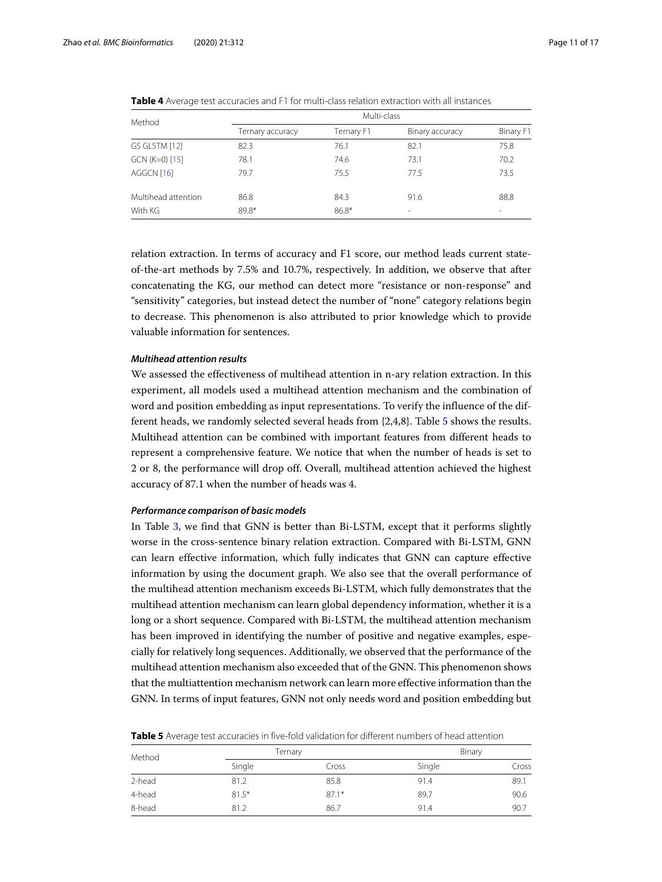<span id="page-10-0"></span>

| Method              | Multi-class      |            |                          |           |  |  |
|---------------------|------------------|------------|--------------------------|-----------|--|--|
|                     | Ternary accuracy | Ternary F1 | Binary accuracy          | Binary F1 |  |  |
| GS GLSTM [12]       | 82.3             | 76.1       | 82.1                     | 75.8      |  |  |
| GCN (K=0) [15]      | 78.1             | 74.6       | 73.1                     | 70.2      |  |  |
| AGGCN [16]          | 79.7             | 75.5       | 77.5                     | 73.5      |  |  |
| Multihead attention | 86.8             | 84.3       | 91.6                     | 88.8      |  |  |
| With KG             | 89.8*            | $86.8*$    | $\overline{\phantom{a}}$ | -         |  |  |

**Table 4** Average test accuracies and F1 for multi-class relation extraction with all instances

relation extraction. In terms of accuracy and F1 score, our method leads current stateof-the-art methods by 7.5% and 10.7%, respectively. In addition, we observe that after concatenating the KG, our method can detect more "resistance or non-response" and "sensitivity" categories, but instead detect the number of "none" category relations begin to decrease. This phenomenon is also attributed to prior knowledge which to provide valuable information for sentences.

#### *Multihead attention results*

We assessed the effectiveness of multihead attention in n-ary relation extraction. In this experiment, all models used a multihead attention mechanism and the combination of word and position embedding as input representations. To verify the influence of the different heads, we randomly selected several heads from {2,4,8}. Table [5](#page-10-1) shows the results. Multihead attention can be combined with important features from different heads to represent a comprehensive feature. We notice that when the number of heads is set to 2 or 8, the performance will drop off. Overall, multihead attention achieved the highest accuracy of 87.1 when the number of heads was 4.

#### *Performance comparison of basic models*

In Table [3,](#page-9-0) we find that GNN is better than Bi-LSTM, except that it performs slightly worse in the cross-sentence binary relation extraction. Compared with Bi-LSTM, GNN can learn effective information, which fully indicates that GNN can capture effective information by using the document graph. We also see that the overall performance of the multihead attention mechanism exceeds Bi-LSTM, which fully demonstrates that the multihead attention mechanism can learn global dependency information, whether it is a long or a short sequence. Compared with Bi-LSTM, the multihead attention mechanism has been improved in identifying the number of positive and negative examples, especially for relatively long sequences. Additionally, we observed that the performance of the multihead attention mechanism also exceeded that of the GNN. This phenomenon shows that the multiattention mechanism network can learn more effective information than the GNN. In terms of input features, GNN not only needs word and position embedding but

| Method | Ternary |         | Binary |       |
|--------|---------|---------|--------|-------|
|        | Single  | Cross   | Single | Cross |
| 2-head | 81.2    | 85.8    | 91.4   | 89.1  |
| 4-head | $81.5*$ | $87.1*$ | 89.7   | 90.6  |
| 8-head | 81.2    | 86.7    | 91.4   | 90.7  |

<span id="page-10-1"></span>**Table 5** Average test accuracies in five-fold validation for different numbers of head attention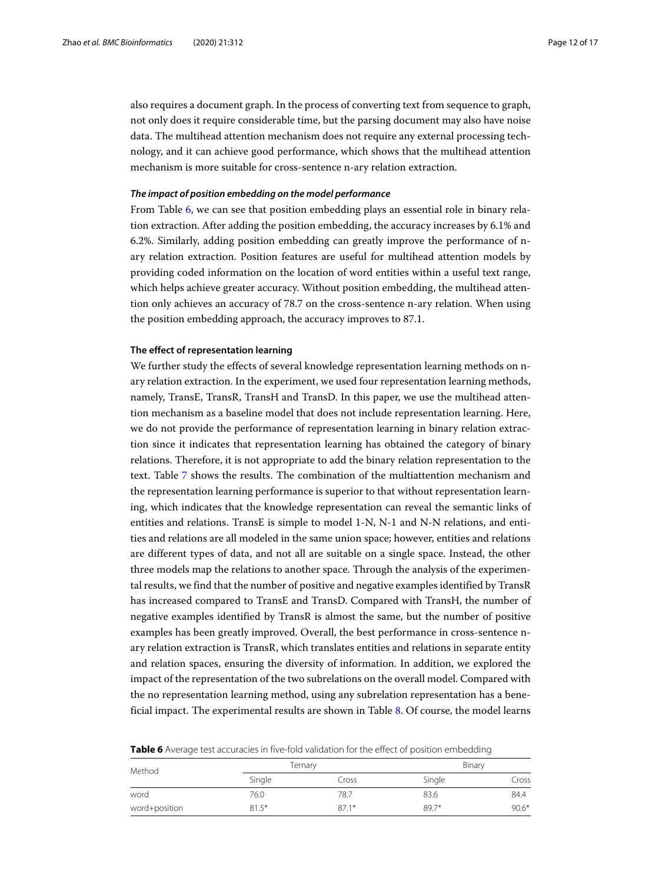also requires a document graph. In the process of converting text from sequence to graph, not only does it require considerable time, but the parsing document may also have noise data. The multihead attention mechanism does not require any external processing technology, and it can achieve good performance, which shows that the multihead attention mechanism is more suitable for cross-sentence n-ary relation extraction.

#### *The impact of position embedding on the model performance*

From Table [6,](#page-11-0) we can see that position embedding plays an essential role in binary relation extraction. After adding the position embedding, the accuracy increases by 6.1% and 6.2%. Similarly, adding position embedding can greatly improve the performance of nary relation extraction. Position features are useful for multihead attention models by providing coded information on the location of word entities within a useful text range, which helps achieve greater accuracy. Without position embedding, the multihead attention only achieves an accuracy of 78.7 on the cross-sentence n-ary relation. When using the position embedding approach, the accuracy improves to 87.1.

#### **The effect of representation learning**

We further study the effects of several knowledge representation learning methods on nary relation extraction. In the experiment, we used four representation learning methods, namely, TransE, TransR, TransH and TransD. In this paper, we use the multihead attention mechanism as a baseline model that does not include representation learning. Here, we do not provide the performance of representation learning in binary relation extraction since it indicates that representation learning has obtained the category of binary relations. Therefore, it is not appropriate to add the binary relation representation to the text. Table [7](#page-12-0) shows the results. The combination of the multiattention mechanism and the representation learning performance is superior to that without representation learning, which indicates that the knowledge representation can reveal the semantic links of entities and relations. TransE is simple to model 1-N, N-1 and N-N relations, and entities and relations are all modeled in the same union space; however, entities and relations are different types of data, and not all are suitable on a single space. Instead, the other three models map the relations to another space. Through the analysis of the experimental results, we find that the number of positive and negative examples identified by TransR has increased compared to TransE and TransD. Compared with TransH, the number of negative examples identified by TransR is almost the same, but the number of positive examples has been greatly improved. Overall, the best performance in cross-sentence nary relation extraction is TransR, which translates entities and relations in separate entity and relation spaces, ensuring the diversity of information. In addition, we explored the impact of the representation of the two subrelations on the overall model. Compared with the no representation learning method, using any subrelation representation has a beneficial impact. The experimental results are shown in Table [8.](#page-12-1) Of course, the model learns

| Method        | Ternary |         | Binary  |         |
|---------------|---------|---------|---------|---------|
|               | Single  | Cross   | Single  | Cross   |
| word          | 76.0    | 78.7    | 83.6    | 84.4    |
| word+position | $81.5*$ | $87.1*$ | $89.7*$ | $90.6*$ |

<span id="page-11-0"></span>**Table 6** Average test accuracies in five-fold validation for the effect of position embedding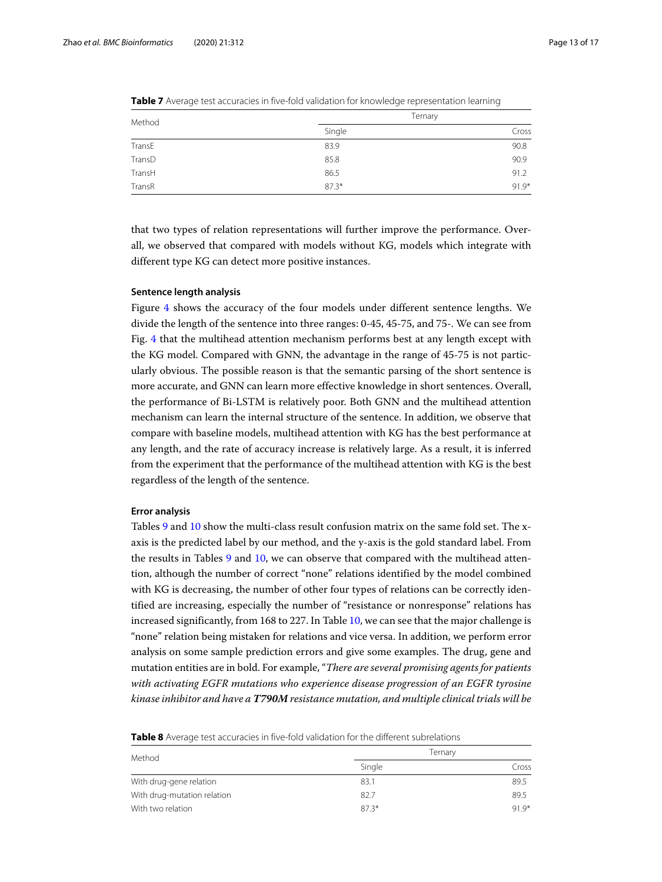| Method | Ternary |         |
|--------|---------|---------|
|        | Single  | Cross   |
| TransE | 83.9    | 90.8    |
| TransD | 85.8    | 90.9    |
| TransH | 86.5    | 91.2    |
| TransR | $87.3*$ | $91.9*$ |

<span id="page-12-0"></span>

|  |  | Table 7 Average test accuracies in five-fold validation for knowledge representation learning |  |
|--|--|-----------------------------------------------------------------------------------------------|--|
|  |  |                                                                                               |  |

that two types of relation representations will further improve the performance. Overall, we observed that compared with models without KG, models which integrate with different type KG can detect more positive instances.

#### **Sentence length analysis**

Figure [4](#page-13-0) shows the accuracy of the four models under different sentence lengths. We divide the length of the sentence into three ranges: 0-45, 45-75, and 75-. We can see from Fig. [4](#page-13-0) that the multihead attention mechanism performs best at any length except with the KG model. Compared with GNN, the advantage in the range of 45-75 is not particularly obvious. The possible reason is that the semantic parsing of the short sentence is more accurate, and GNN can learn more effective knowledge in short sentences. Overall, the performance of Bi-LSTM is relatively poor. Both GNN and the multihead attention mechanism can learn the internal structure of the sentence. In addition, we observe that compare with baseline models, multihead attention with KG has the best performance at any length, and the rate of accuracy increase is relatively large. As a result, it is inferred from the experiment that the performance of the multihead attention with KG is the best regardless of the length of the sentence.

#### **Error analysis**

Tables [9](#page-13-1) and [10](#page-14-0) show the multi-class result confusion matrix on the same fold set. The xaxis is the predicted label by our method, and the y-axis is the gold standard label. From the results in Tables [9](#page-13-1) and [10,](#page-14-0) we can observe that compared with the multihead attention, although the number of correct "none" relations identified by the model combined with KG is decreasing, the number of other four types of relations can be correctly identified are increasing, especially the number of "resistance or nonresponse" relations has increased significantly, from 168 to 227. In Table [10,](#page-14-0) we can see that the major challenge is "none" relation being mistaken for relations and vice versa. In addition, we perform error analysis on some sample prediction errors and give some examples. The drug, gene and mutation entities are in bold. For example, "*There are several promising agents for patients with activating EGFR mutations who experience disease progression of an EGFR tyrosine kinase inhibitor and have a T790M resistance mutation, and multiple clinical trials will be*

<span id="page-12-1"></span>**Table 8** Average test accuracies in five-fold validation for the different subrelations

| Method                      | Ternarv |        |  |
|-----------------------------|---------|--------|--|
|                             | Single  | Cross  |  |
| With drug-gene relation     | 83.1    | 89.5   |  |
| With drug-mutation relation | 82.7    | 89.5   |  |
| With two relation           | $873*$  | $919*$ |  |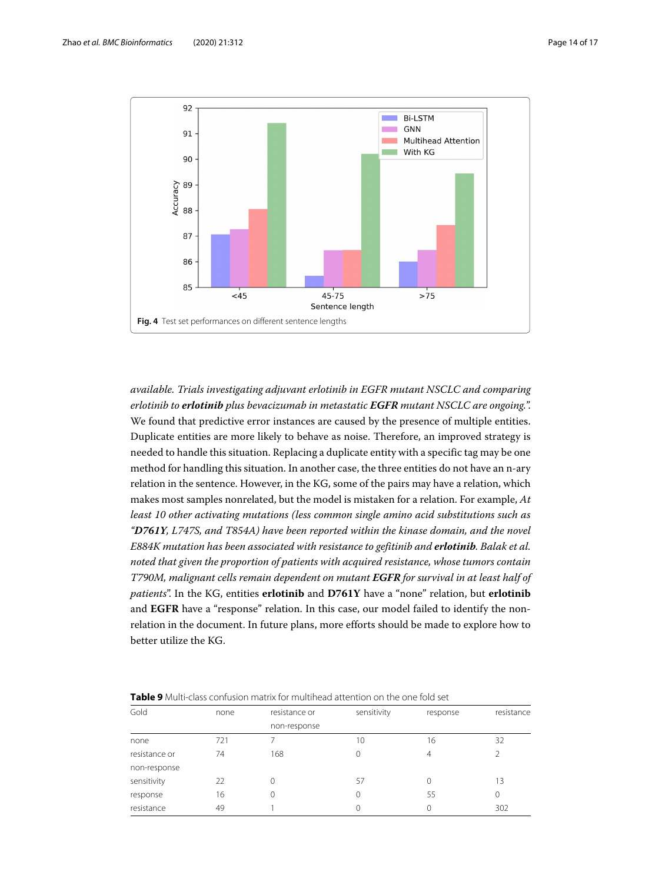non-response



<span id="page-13-0"></span>*available. Trials investigating adjuvant erlotinib in EGFR mutant NSCLC and comparing erlotinib to erlotinib plus bevacizumab in metastatic EGFR mutant NSCLC are ongoing.*". We found that predictive error instances are caused by the presence of multiple entities. Duplicate entities are more likely to behave as noise. Therefore, an improved strategy is needed to handle this situation. Replacing a duplicate entity with a specific tag may be one method for handling this situation. In another case, the three entities do not have an n-ary relation in the sentence. However, in the KG, some of the pairs may have a relation, which makes most samples nonrelated, but the model is mistaken for a relation. For example, *At least 10 other activating mutations (less common single amino acid substitutions such as "D761Y, L747S, and T854A) have been reported within the kinase domain, and the novel E884K mutation has been associated with resistance to gefitinib and erlotinib. Balak et al. noted that given the proportion of patients with acquired resistance, whose tumors contain T790M, malignant cells remain dependent on mutant EGFR for survival in at least half of patients*". In the KG, entities **erlotinib** and **D761Y** have a "none" relation, but **erlotinib** and **EGFR** have a "response" relation. In this case, our model failed to identify the nonrelation in the document. In future plans, more efforts should be made to explore how to better utilize the KG.

<span id="page-13-1"></span>

| Gold          | none | resistance or | sensitivity | response | resistance |
|---------------|------|---------------|-------------|----------|------------|
|               |      | non-response  |             |          |            |
| none          |      |               | l ()        | b        |            |
| resistance or | /Δ   | 168           |             | Δ        |            |

sensitivity 22 0 57 0 13 response 16 0 0 55 0 resistance 49 1 0 0 302

**Table 9** Multi-class confusion matrix for multihead attention on the one fold set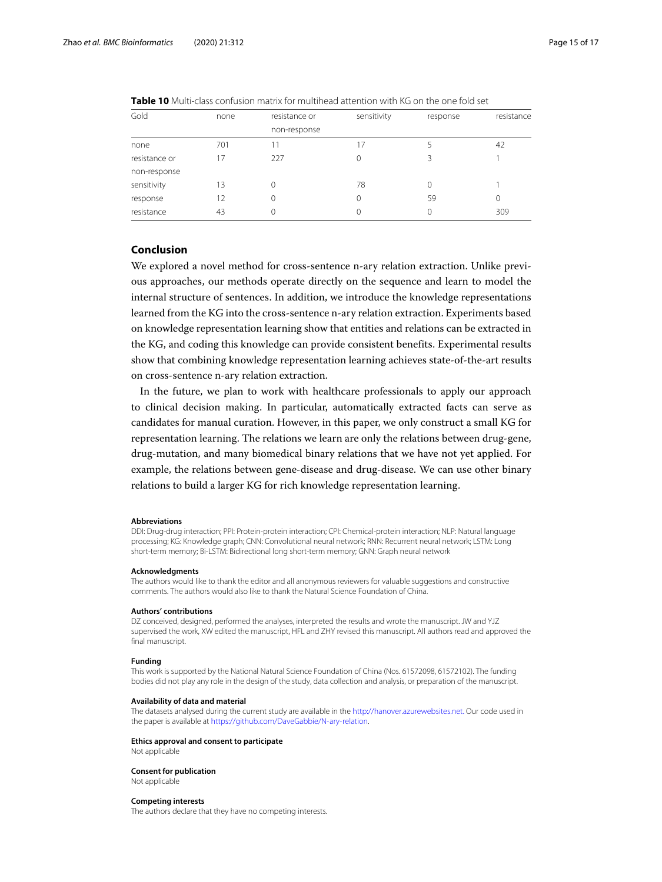<span id="page-14-0"></span>

| Gold          | none | resistance or | sensitivity | response | resistance |
|---------------|------|---------------|-------------|----------|------------|
|               |      | non-response  |             |          |            |
| none          | 701  |               |             |          | 42         |
| resistance or | 17   | 227           | 0           | 3        |            |
| non-response  |      |               |             |          |            |
| sensitivity   | 13   | 0             | 78          | 0        |            |
| response      | 12   | 0             | 0           | 59       | 0          |
| resistance    | 43   | 0             |             | 0        | 309        |

**Table 10** Multi-class confusion matrix for multihead attention with KG on the one fold set

#### **Conclusion**

We explored a novel method for cross-sentence n-ary relation extraction. Unlike previous approaches, our methods operate directly on the sequence and learn to model the internal structure of sentences. In addition, we introduce the knowledge representations learned from the KG into the cross-sentence n-ary relation extraction. Experiments based on knowledge representation learning show that entities and relations can be extracted in the KG, and coding this knowledge can provide consistent benefits. Experimental results show that combining knowledge representation learning achieves state-of-the-art results on cross-sentence n-ary relation extraction.

In the future, we plan to work with healthcare professionals to apply our approach to clinical decision making. In particular, automatically extracted facts can serve as candidates for manual curation. However, in this paper, we only construct a small KG for representation learning. The relations we learn are only the relations between drug-gene, drug-mutation, and many biomedical binary relations that we have not yet applied. For example, the relations between gene-disease and drug-disease. We can use other binary relations to build a larger KG for rich knowledge representation learning.

#### **Abbreviations**

DDI: Drug-drug interaction; PPI: Protein-protein interaction; CPI: Chemical-protein interaction; NLP: Natural language processing; KG: Knowledge graph; CNN: Convolutional neural network; RNN: Recurrent neural network; LSTM: Long short-term memory; Bi-LSTM: Bidirectional long short-term memory; GNN: Graph neural network

#### **Acknowledgments**

The authors would like to thank the editor and all anonymous reviewers for valuable suggestions and constructive comments. The authors would also like to thank the Natural Science Foundation of China.

#### **Authors' contributions**

DZ conceived, designed, performed the analyses, interpreted the results and wrote the manuscript. JW and YJZ supervised the work, XW edited the manuscript, HFL and ZHY revised this manuscript. All authors read and approved the final manuscript.

#### **Funding**

This work is supported by the National Natural Science Foundation of China (Nos. 61572098, 61572102). The funding bodies did not play any role in the design of the study, data collection and analysis, or preparation of the manuscript.

#### **Availability of data and material**

The datasets analysed during the current study are available in the <http://hanover.azurewebsites.net.> Our code used in the paper is available at [https://github.com/DaveGabbie/N-ary-relation.](https://github.com/DaveGabbie/N-ary-relation)

#### **Ethics approval and consent to participate**

Not applicable

#### **Consent for publication**

Not applicable

#### **Competing interests**

The authors declare that they have no competing interests.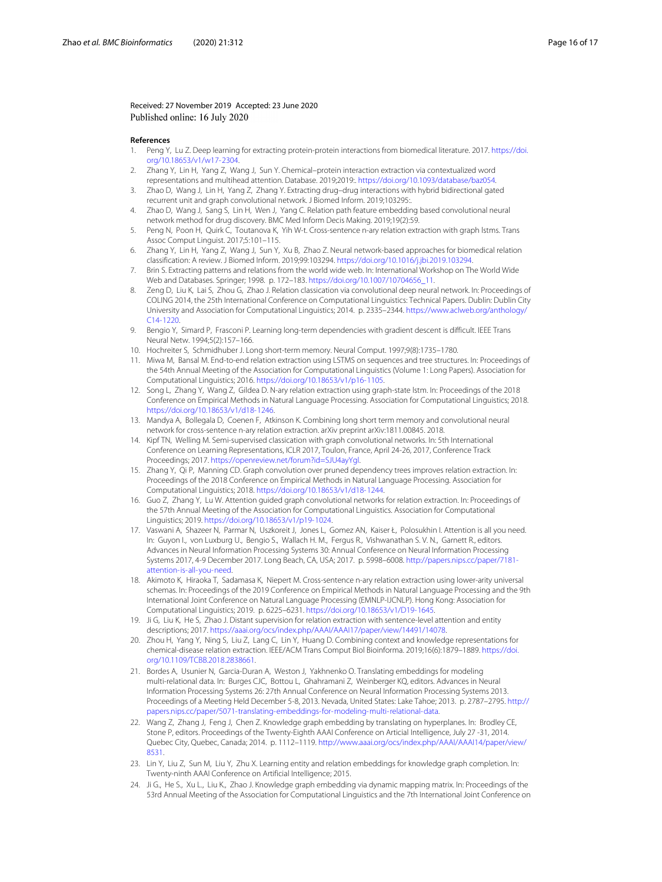#### Received: 27 November 2019 Accepted: 23 June 2020 Published online: 16 July 2020

#### **References**

- <span id="page-15-0"></span>1. Peng Y, Lu Z. Deep learning for extracting protein-protein interactions from biomedical literature. 2017. [https://doi.](https://doi.org/10.18653/v1/w17-2304) [org/10.18653/v1/w17-2304.](https://doi.org/10.18653/v1/w17-2304)
- 2. Zhang Y, Lin H, Yang Z, Wang J, Sun Y. Chemical–protein interaction extraction via contextualized word representations and multihead attention. Database. 2019;2019:. [https://doi.org/10.1093/database/baz054.](https://doi.org/10.1093/database/baz054)
- <span id="page-15-1"></span>3. Zhao D, Wang J, Lin H, Yang Z, Zhang Y. Extracting drug–drug interactions with hybrid bidirectional gated recurrent unit and graph convolutional network. J Biomed Inform. 2019;103295:.
- <span id="page-15-2"></span>4. Zhao D, Wang J, Sang S, Lin H, Wen J, Yang C. Relation path feature embedding based convolutional neural network method for drug discovery. BMC Med Inform Decis Making. 2019;19(2):59.
- <span id="page-15-3"></span>5. Peng N, Poon H, Quirk C, Toutanova K, Yih W-t. Cross-sentence n-ary relation extraction with graph lstms. Trans Assoc Comput Linguist. 2017;5:101–115.
- <span id="page-15-4"></span>6. Zhang Y, Lin H, Yang Z, Wang J, Sun Y, Xu B, Zhao Z. Neural network-based approaches for biomedical relation classification: A review. J Biomed Inform. 2019;99:103294. [https://doi.org/10.1016/j.jbi.2019.103294.](https://doi.org/10.1016/j.jbi.2019.103294)
- <span id="page-15-5"></span>7. Brin S. Extracting patterns and relations from the world wide web. In: International Workshop on The World Wide Web and Databases. Springer; 1998. p. 172–183. [https://doi.org/10.1007/10704656\\_11.](https://doi.org/10.1007/10704656_11)
- <span id="page-15-6"></span>8. Zeng D, Liu K, Lai S, Zhou G, Zhao J. Relation classication via convolutional deep neural network. In: Proceedings of COLING 2014, the 25th International Conference on Computational Linguistics: Technical Papers. Dublin: Dublin City University and Association for Computational Linguistics; 2014. p. 2335–2344. [https://www.aclweb.org/anthology/](https://www.aclweb.org/anthology/C14-1220) [C14-1220.](https://www.aclweb.org/anthology/C14-1220)
- <span id="page-15-7"></span>9. Bengio Y, Simard P, Frasconi P. Learning long-term dependencies with gradient descent is difficult. IEEE Trans Neural Netw. 1994;5(2):157–166.
- <span id="page-15-8"></span>10. Hochreiter S, Schmidhuber J. Long short-term memory. Neural Comput. 1997;9(8):1735–1780.
- <span id="page-15-9"></span>11. Miwa M, Bansal M. End-to-end relation extraction using LSTMS on sequences and tree structures. In: Proceedings of the 54th Annual Meeting of the Association for Computational Linguistics (Volume 1: Long Papers). Association for Computational Linguistics; 2016. [https://doi.org/10.18653/v1/p16-1105.](https://doi.org/10.18653/v1/p16-1105)
- <span id="page-15-10"></span>12. Song L, Zhang Y, Wang Z, Gildea D. N-ary relation extraction using graph-state lstm. In: Proceedings of the 2018 Conference on Empirical Methods in Natural Language Processing. Association for Computational Linguistics; 2018. [https://doi.org/10.18653/v1/d18-1246.](https://doi.org/10.18653/v1/d18-1246)
- <span id="page-15-11"></span>13. Mandya A, Bollegala D, Coenen F, Atkinson K. Combining long short term memory and convolutional neural network for cross-sentence n-ary relation extraction. arXiv preprint arXiv:1811.00845. 2018.
- <span id="page-15-12"></span>14. Kipf TN, Welling M. Semi-supervised classication with graph convolutional networks. In: 5th International Conference on Learning Representations, ICLR 2017, Toulon, France, April 24-26, 2017, Conference Track Proceedings; 2017. [https://openreview.net/forum?id=SJU4ayYgl.](https://openreview.net/forum?id=SJU4ayYgl)
- <span id="page-15-13"></span>15. Zhang Y, Qi P, Manning CD. Graph convolution over pruned dependency trees improves relation extraction. In: Proceedings of the 2018 Conference on Empirical Methods in Natural Language Processing. Association for Computational Linguistics; 2018. [https://doi.org/10.18653/v1/d18-1244.](https://doi.org/10.18653/v1/d18-1244)
- <span id="page-15-14"></span>16. Guo Z, Zhang Y, Lu W. Attention guided graph convolutional networks for relation extraction. In: Proceedings of the 57th Annual Meeting of the Association for Computational Linguistics. Association for Computational Linguistics; 2019. [https://doi.org/10.18653/v1/p19-1024.](https://doi.org/10.18653/v1/p19-1024)
- <span id="page-15-15"></span>17. Vaswani A, Shazeer N, Parmar N, Uszkoreit J, Jones L, Gomez AN, Kaiser Ł, Polosukhin I. Attention is all you need. In: Guyon I., von Luxburg U., Bengio S., Wallach H. M., Fergus R., Vishwanathan S. V. N., Garnett R., editors. Advances in Neural Information Processing Systems 30: Annual Conference on Neural Information Processing Systems 2017, 4-9 December 2017. Long Beach, CA, USA; 2017. p. 5998–6008. [http://papers.nips.cc/paper/7181](http://papers.nips.cc/paper/7181-attention-is-all-you-need) [attention-is-all-you-need.](http://papers.nips.cc/paper/7181-attention-is-all-you-need)
- <span id="page-15-16"></span>18. Akimoto K, Hiraoka T, Sadamasa K, Niepert M. Cross-sentence n-ary relation extraction using lower-arity universal schemas. In: Proceedings of the 2019 Conference on Empirical Methods in Natural Language Processing and the 9th International Joint Conference on Natural Language Processing (EMNLP-IJCNLP). Hong Kong: Association for Computational Linguistics; 2019. p. 6225–6231. [https://doi.org/10.18653/v1/D19-1645.](https://doi.org/10.18653/v1/D19-1645)
- 19. Ji G, Liu K, He S, Zhao J. Distant supervision for relation extraction with sentence-level attention and entity descriptions; 2017. [https://aaai.org/ocs/index.php/AAAI/AAAI17/paper/view/14491/14078.](https://aaai.org/ocs/index.php/AAAI/AAAI17/paper/view/14491/14078)
- <span id="page-15-17"></span>20. Zhou H, Yang Y, Ning S, Liu Z, Lang C, Lin Y, Huang D. Combining context and knowledge representations for chemical-disease relation extraction. IEEE/ACM Trans Comput Biol Bioinforma. 2019;16(6):1879–1889. [https://doi.](https://doi.org/10.1109/TCBB.2018.2838661) [org/10.1109/TCBB.2018.2838661.](https://doi.org/10.1109/TCBB.2018.2838661)
- <span id="page-15-18"></span>21. Bordes A, Usunier N, Garcia-Duran A, Weston J, Yakhnenko O. Translating embeddings for modeling multi-relational data. In: Burges CJC, Bottou L, Ghahramani Z, Weinberger KQ, editors. Advances in Neural Information Processing Systems 26: 27th Annual Conference on Neural Information Processing Systems 2013. Proceedings of a Meeting Held December 5-8, 2013. Nevada, United States: Lake Tahoe; 2013. p. 2787–2795. [http://](http://papers.nips.cc/paper/5071-translating-embeddings-for-modeling-multi-relational-data) [papers.nips.cc/paper/5071-translating-embeddings-for-modeling-multi-relational-data.](http://papers.nips.cc/paper/5071-translating-embeddings-for-modeling-multi-relational-data)
- <span id="page-15-19"></span>22. Wang Z, Zhang J, Feng J, Chen Z. Knowledge graph embedding by translating on hyperplanes. In: Brodley CE, Stone P, editors. Proceedings of the Twenty-Eighth AAAI Conference on Articial Intelligence, July 27 -31, 2014. Quebec City, Quebec, Canada; 2014. p. 1112–1119. [http://www.aaai.org/ocs/index.php/AAAI/AAAI14/paper/view/](http://www.aaai.org/ocs/index.php/AAAI/AAAI14/paper/view/8531) [8531.](http://www.aaai.org/ocs/index.php/AAAI/AAAI14/paper/view/8531)
- <span id="page-15-20"></span>23. Lin Y, Liu Z, Sun M, Liu Y, Zhu X. Learning entity and relation embeddings for knowledge graph completion. In: Twenty-ninth AAAI Conference on Artificial Intelligence; 2015.
- <span id="page-15-21"></span>24. Ji G., He S., Xu L., Liu K., Zhao J. Knowledge graph embedding via dynamic mapping matrix. In: Proceedings of the 53rd Annual Meeting of the Association for Computational Linguistics and the 7th International Joint Conference on